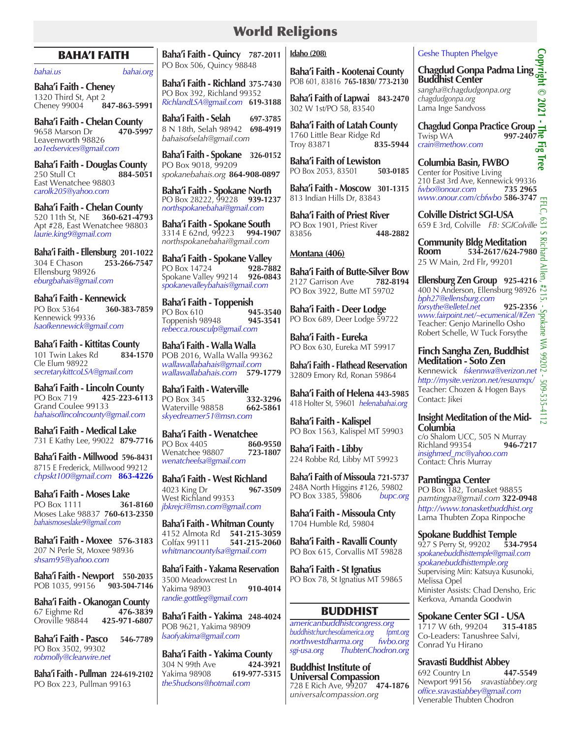# World Religions

## BAHA'I FAITH

#### *bahai.us bahai.org*

**Baha'i Faith - Cheney** 1320 Third St, Apt 2<br>Chenev 99004 **847-863-5991** Cheney 99004 **847-863-5991**

**Baha'i Faith - Chelan County** 9658 Marson Dr **470-5997** Leavenworth 98826 *ao1edservices@gmail.com*

**Baha'i Faith - Douglas County** 250 Stull Ct **884-5051** East Wenatchee 98803 *carolk205@yahoo.com*

**Baha'i Faith - Chelan County** 520 11th St, NE **360-621-4793** Apt #28, East Wenatchee 98803 *laurie.king9@gmail.com*

**Baha'i Faith - Ellensburg 201-1022** 304 E Chason **253-266-7547**  Ellensburg 98926 *eburgbahais@gmail.com*

**Baha'i Faith - Kennewick** PO Box 5364 **360-383-7859**  Kennewick 99336 *lsaofkennewick@gmail.com*

**Baha'i Faith - Kittitas County** 101 Twin Lakes Rd **834-1570** Cle Elum 98922 *secretarykittcoLSA@gmail.com*

**Baha'i Faith - Lincoln County**<br>PO Box 719 425-223-61 PO Box 719 **425**-**223-6113** Grand Coulee 99133 *bahaisoflincolncounty@gmail.com*

**Baha'i Faith - Medical Lake** 731 E Kathy Lee, 99022 **879-7716**

**Baha'i Faith - Millwood 596-8431** 8715 E Frederick, Millwood 99212 *chpskt100@gmail.com* **863-4226**

**Baha'i Faith - Moses Lake PO Box 1111** Moses Lake 98837 **760-613-2350** *bahaismoseslake9@gmail.com*

**Baha'i Faith - Moxee 576-3183** 207 N Perle St, Moxee 98936 *shsam95@yahoo.com* 

**Baha'i Faith - Newport 550-2035** POB 1035, 99156 **903-504-7146**

**Baha'i Faith - Okanogan County** 67 Eighme Rd **476-3839** Oroville 98844 **425-971-6807**

**Baha'i Faith - Pasco 546-7789** PO Box 3502, 99302 *robmolly@clearwire.net*

**Baha'i Faith - Pullman 224-619-2102** PO Box 223, Pullman 99163

**Baha'i Faith - Quincy 787-2011** PO Box 506, Quincy 98848

**Baha'i Faith - Richland 375-7430** PO Box 392, Richland 99352 *RichlandLSA@gmail.com* **619-3188**

**Baha'i Faith - Selah 697-3785** 8 N 18th, Selah 98942 *bahaisofselah@gmail.com*

**Baha'i Faith - Spokane 326-0152** PO Box 9018, 99209 *spokanebahais.org* **864-908-0897**

**Baha'i Faith - Spokane North** PO Box 28222, 99228 **939-1237** *northspokanebahai@gmail.com*

**Baha'i Faith - Spokane South** 3314 E 62nd, 99223 **994-1907** *northspokanebahai@gmail.com*

**Baha'i Faith - Spokane Valley** PO Box 14724 Spokane Valley 99214 **926-0843** *spokanevalleybahais@gmail.com*

Baha'i Faith - Toppenish<br>PO Box 610 945-3540 PO Box 610<br>
Toppenish 98948 **945-3541** Toppenish 98948 *rebecca.rousculp@gmail.com*

**Baha'i Faith - Walla Walla**  POB 2016, Walla Walla 99362 *wallawallabahais@gmail.com wallawallabahais.com* **579-1779**

**Baha'i Faith - Waterville**<br>PO Box 345 **332-3296** PO Box 345 **332-3296** Waterville 98858 *skyedreamer51@msn.com*

**Baha'i Faith - Wenatchee** PO Box 4405 **860-9550** Wenatchee 98807 *wenatcheelsa@gmail.com*

**Baha'i Faith - West Richland**<br>4023 King Dr<br>**967-3509** 4023 King Dr **967-3509** West Richland 99353 *jbkrejci@msn.com@gmail.com*

**Baha'i Faith - Whitman County**  4152 Almota Rd **541-215-3059** Colfax 99111 **541-215-2060** *whitmancountylsa@gmail.com*

**Baha'i Faith - Yakama Reservation** 3500 Meadowcrest Ln Yakima 98903 **910-4014**  *randie.gottlieg@gmail.com* 

**Baha'i Faith - Yakima 248-4024** POB 9621, Yakima 98909 *lsaofyakima@gmail.com*

**Baha'i Faith - Yakima County** 304 N 99th Ave **424-3921** Yakima 98908 **619-977-5315** *the5hudsons@hotmail.com*

#### **Idaho (208)**

**Baha'i Faith - Kootenai County** POB 601, 83816 **765-1830/ 773-2130** 

**Baha'i Faith of Lapwai 843-2470** 302 W 1st/PO 58, 83540

**Baha'i Faith of Latah County** 1760 Little Bear Ridge Rd<br>Troy 83871 **835-5944** Troy 83871 **835-5944**

**Baha'i Faith of Lewiston**<br>PO Box 2053, 83501 **503-0185** PO Box 2053, 83501

**Baha'i Faith - Moscow 301-1315** 813 Indian Hills Dr, 83843

**Baha'i Faith of Priest River** PO Box 1901, Priest River<br>83856 4 83856 **448-2882**

#### **Montana (406)**

**Baha'i Faith of Butte-Silver Bow**<br>2127 Garrison Ave 782-8194 2127 Garrison Ave PO Box 3922, Butte MT 59702

**Baha'i Faith - Deer Lodge**  PO Box 689, Deer Lodge 59722

**Baha'i Faith - Eureka** PO Box 630, Eureka MT 59917

**Baha'i Faith - Flathead Reservation** 32809 Emory Rd, Ronan 59864

**Baha'i Faith of Helena 443-5985** 418 Holter St, 59601 *helenabahai.org*

**Baha'i Faith - Kalispel** PO Box 1563, Kalispel MT 59903

**Baha'i Faith - Libby** 224 Robbe Rd, Libby MT 59923

**Baha'i Faith of Missoula 721-5737** 248A North Higgins #126, 59802<br>PO Box 3385, 59806 bupc.org PO Box 3385, 59806

**Baha'i Faith - Missoula Cnty** 1704 Humble Rd, 59804

**Baha'i Faith - Ravalli County** PO Box 615, Corvallis MT 59828

**Baha'i Faith - St Ignatius** PO Box 78, St Ignatius MT 59865

## BUDDHIST

*americanbuddhistcongress.org*  $b$ uddhistchurchesofamerica.org *northwestdharma.org fwbo.org sgi-usa.org ThubtenChodron.org* 

**Buddhist Institute of Universal Compassion** 728 E Rich Ave, 99207 **474-1876** *universalcompassion.org*

## Geshe Thupten Phelgye

Geshe Thupten Phelgye<br> **Chagdud Gonpa Padma Ling Straight Center**<br> **Buddhist Center**<br>
sangha@chagdudgonpa.org<br>
chagdudgonpa.org<br>
Lama Inge Sandvoss<br>
Lama Inge Sandvoss **Buddhist Center** *sangha@chagdudgonpa.org chagdudgonpa.org* Lama Inge Sandvoss

**Chagdud Gonpa Practice Group** Twisp WA **997-2407** *crain@methow.com*

**Columbia Basin, FWBO** Center for Positive Living 210 East 3rd Ave, Kennewick 99336<br>
fwbo@onour.com 735 2965 *fwbo@onour.com* **735 2965** *www.onour.com/cbfwbo* **586-3747**

**Colville District SGI-USA**  659 E 3rd, Colville *FB: SGIColville*

**Community Bldg Meditation Room Room Fig. 34-2617/624-7980**<br> **Property 18-2011** 25 W Main, 2rd Flr, 99201

**Ellensburg Zen Group** 925-4216 400 N Anderson, Ellensburg 98926 *bph27@ellensburg.com forsythe@elletel.net* 925-2356<br>
www.fairpoint.net/~ecumenical/#Zen <del>99</del><br>
Teacher: Genjo Marinello Osho<br>
Robert Schelle, W Tuck Forsythe *www.fairpoint.net/~ecumenical/#Zen* Teacher: Genjo Marinello Osho Robert Schelle, W Tuck Forsythe

**Finch Sangha Zen, Buddhist Meditation - Soto Zen**  Kennewick *fskennwa@verizon.net http://mysite.verizon.net/resuxmqx/* Teacher: Chozen & Hogen Bays Contact: Jikei

**Insight Meditation of the Mid-Columbia**   $\frac{1}{\frac{1}{\sqrt{2}} \text{C}}$  C/o Shalom UCC, 505 N Murray **Richland 99354** 

*insighmed\_mc@yahoo.com* Contact: Chris Murray

**Pamtingpa Center** PO Box 182, Tonasket 98855 *pamtingpa@gmail.com* **322-0948** *http://www.tonasketbuddhist.org* Lama Thubten Zopa Rinpoche

**Spokane Buddhist Temple** 927 S Perry St, 99202 **534-7954** *spokanebuddhisttemple@gmail.com spokanebuddhisttemple.org* Supervising Min: Katsuya Kusunoki, Melissa Opel Minister Assists: Chad Densho, Eric Kerkova, Amanda Goodwin

**Spokane Center SGI - USA** 1717 W 6th, 99204 **315-4185** Co-Leaders: Tanushree Salvi, Conrad Yu Hirano

**Sravasti Buddhist Abbey** 692 Country Ln **447-5549** Newport 99156 *sravastiabbey.org office.sravastiabbey@gmail.com* Venerable Thubten Chodron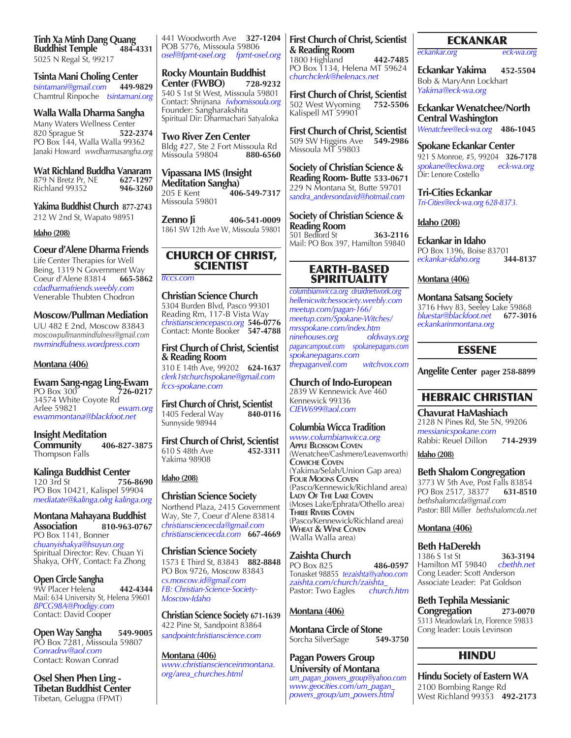**Tinh Xa Minh Dang Quang Buddhist Temple** 5025 N Regal St, 99217

**Tsinta Mani Choling Center** *tsintamani@gmail.com* **449-9829** Chamtrul Rinpoche *tsintamani.org*

**Walla Walla Dharma Sangha** Many Waters Wellness Center<br>820 Sprague St 522-2374 820 Sprague St PO Box 144, Walla Walla 99362 Janaki Howard *wwdharmasangha.org*

**Wat Richland Buddha Vanaram**<br>879 N Bretz Pr. NE 627-1297 879 N Bretz Pr, NE **627-1297 Richland 99352** 

**Yakima Buddhist Church 877-2743** 212 W 2nd St, Wapato 98951

#### **Idaho (208)**

**Coeur d'Alene Dharma Friends** Life Center Therapies for Well Being, 1319 N Government Way<br>Coeur d'Alene 83814 665-5862 Coeur d'Alene 83814 **665-5862** *cdadharmafriends.weebly.com* Venerable Thubten Chodron

**Moscow/Pullman Mediation** UU 482 E 2nd, Moscow 83843 *moscowpullmanmindfulness@gmail.com nwmindfulness.wordpress.com*

#### **Montana (406)**

**Ewam Sang-ngag Ling-Ewam** PO Box 300 **726-0217** 34574 White Coyote Rd<br>Arlee 59821 ewam.org Arlee 59821 *ewam.org ewammontana@blackfoot.net* 

**Insight Meditation Community 406-827-3875** Thompson Falls

**Kalinga Buddhist Center**<br>120 3rd St 756 120 3rd St **756-8690** PO Box 10421, Kalispel 59904 *mediatate@kalinga.olrg kalinga.org*

**Montana Mahayana Buddhist Association 810-963-0767** PO Box 1141, Bonner *chuanyishakya@hsuyun.org* Spiritual Director: Rev. Chuan Yi Shakya, OHY, Contact: Fa Zhong

**Open Circle Sangha** 9W Placer Helena **442-4344** Mail: 634 University St, Helena 59601 *BPCG98A@Prodigy.com* Contact: David Cooper

**Open Way Sangha 549-9005** PO Box 7281, Missoula 59807 *Conradrw@aol.com* Contact: Rowan Conrad

**Osel Shen Phen Ling - Tibetan Buddhist Center** Tibetan, Gelugpa (FPMT)

441 Woodworth Ave **327-1204** POB 5776, Missoula 59806 *osel@fpmt-osel.org fpmt-osel.org*

**Rocky Mountain Buddhist Center (FWBO)** 540 S 1st St West, Missoula 59801 Contact: Shrijnana *fwbomissoula.org* Founder: Sangharakshita Spiritual Dir: Dharmachari Satyaloka

**Two River Zen Center** Bldg #27, Ste 2 Fort Missoula Rd<br>Missoula 59804 880-6560 Missoula 59804 **880-6560**

**Vipassana IMS (Insight Meditation Sangha)**<br>205 E Kent **40** 205 E Kent **406-549-7317** Missoula 59801

**Zenno Ji 406-541-0009** 1861 SW 12th Ave W, Missoula 59801

## CHURCH OF CHRIST, **SCIENTIST**

*tfccs.com*

**Christian Science Church**  5304 Burden Blvd, Pasco 99301 Reading Rm, 117-B Vista Way *christiansciencepasco.org* **546-0776** Contact: Monte Booker **547-4788**

**First Church of Christ, Scientist & Reading Room** 310 E 14th Ave, 99202 **624-1637** *clerk1stchurchspokane@gmail.com fccs-spokane.com*

**First Church of Christ, Scientist**<br>1405 Federal Way 840-0116 1405 Federal Way Sunnyside 98944

**First Church of Christ, Scientist** 610 S 48th Ave 452-3311 610 S 48th Ave Yakima 98908

#### **Idaho (208)**

**Christian Science Society** Northend Plaza, 2415 Government Way, Ste 7, Coeur d'Alene 83814 *christiansciencecda@gmail.com christiansciencecda.com* **667-4669**

**Christian Science Society**  1573 E Third St, 83843 **882-8848** PO Box 9726, Moscow 83843 *cs.moscow.id@gmail.com FB: Christian-Science-Society-Moscow-Idaho*

**Christian Science Society 671-1639** 422 Pine St, Sandpoint 83864 *sandpointchristianscience.com*

**Montana (406)** *www.christianscienceinmontana. org/area\_churches.html*

**First Church of Christ, Scientist & Reading Room**

1800 Highland **442-7485** PO Box 1134, Helena MT 59624 *churchclerk@helenacs.net*

**First Church of Christ, Scientist** 502 West Wyoming 752-5506 502 West Wyoming Kalispell MT 59901

**First Church of Christ, Scientist**  509 SW Higgins Ave **549-2986** Missoula MT 59803

**Society of Christian Science & Reading Room- Butte 533-0671** 229 N Montana St, Butte 59701 *sandra\_andersondavid@hotmail.com*

**Society of Christian Science & Reading Room** 501 Bedford St **363-2116** Mail: PO Box 397, Hamilton 59840

## EARTH-BASED **SPIRITUALITY**

*columbianwicca.org druidnetwork.org hellenicwitchessociety.weebly.com meetup.com/pagan-166/ meetup.com/Spokane-Witches/ mrsspokane.com/index.htm ninehouses.org oldways.org pagancampout.com spokanepagans.com spokanepagans.com thepaganveil.com witchvox.com*

**Church of Indo-European**  2839 W Kennewick Ave 460 Kennewick 99336

*CIEW699@aol.com*

## **Columbia Wicca Tradition**

*www.columbianwicca.org* **Apple Blossom Coven** (Wenatchee/Cashmere/Leavenworth) **Cowiche Coven** (Yakima/Selah/Union Gap area) **Four Moons Coven** (Pasco/Kennewick/Richland area) **Lady Of The Lake Coven** (Moses Lake/Ephrata/Othello area) **Three Rivers Coven** (Pasco/Kennewick/Richland area) **Wheat & Wine Coven** (Walla Walla area)

## **Zaishta Church**

PO Box 825 **486-0597** Tonasket 98855 *tezaishta@yahoo.com zaishta.com/church/zaishta\_*  Pastor: Two Eagles

## **Montana (406)**

**Montana Circle of Stone**<br>Sorcha SilverSage 549-3750 Sorcha SilverSage

**Pagan Powers Group University of Montana** *um\_pagan\_powers\_group@yahoo.com www.geocities.com/um\_pagan\_ powers\_group/um\_powers.html*

## ECKANKAR

*eckankar.org eck-wa.org*

**Eckankar Yakima 452-5504** Bob & MaryAnn Lockhart *Yakima@eck-wa.org*

**Eckankar Wenatchee/North Central Washington** *Wenatchee@eck-wa.org* **486-1045**

**Spokane Eckankar Center** 921 S Monroe, #5, 99204 **326-7178** *spokane@eckwa.org eck-wa.org* Dir: Lenore Costello

**Tri-Cities Eckankar**  *Tri-Cities@eck-wa.org 628-8373.*

## **Idaho (208)**

**Eckankar in Idaho** PO Box 1396, Boise 83701<br>eckankar-idaho org 344-8137 *eckankar-idaho.org* **344-8137**

#### **Montana (406)**

**Montana Satsang Society** 3716 Hwy 83, Seeley Lake 59868<br>bluestar@blackfoot.net 677-3016 *bluestar@blackfoot.net* **677-3016** *eckankarinmontana.org*

## ESSENE

**Angelite Center pager 258-8899**

# HEBRAIC CHRISTIAN

**Chavurat HaMashiach** 2128 N Pines Rd, Ste 5N, 99206 *messianicspokane.com* Rabbi: Reuel Dillon **714-2939**

**Idaho (208)**

#### **Beth Shalom Congregation**

3773 W 5th Ave, Post Falls 83854 PO Box 2517, 38377 *bethshalomcda@gmail.com* Pastor: BIll Miller *bethshalomcda.net*

#### **Montana (406)**

**Beth HaDerekh**  1386 S 1st St **363-3194**  Hamilton MT 59840 *cbethh.net*  Cong Leader: Scott Anderson Associate Leader: Pat Goldson

**Beth Tephila Messianic Congregation 273-0070** 5313 Meadowlark Ln, Florence 59833 Cong leader: Louis Levinson

## HINDU

**Hindu Society of Eastern WA** 2100 Bombing Range Rd West Richland 99353 **492-2173**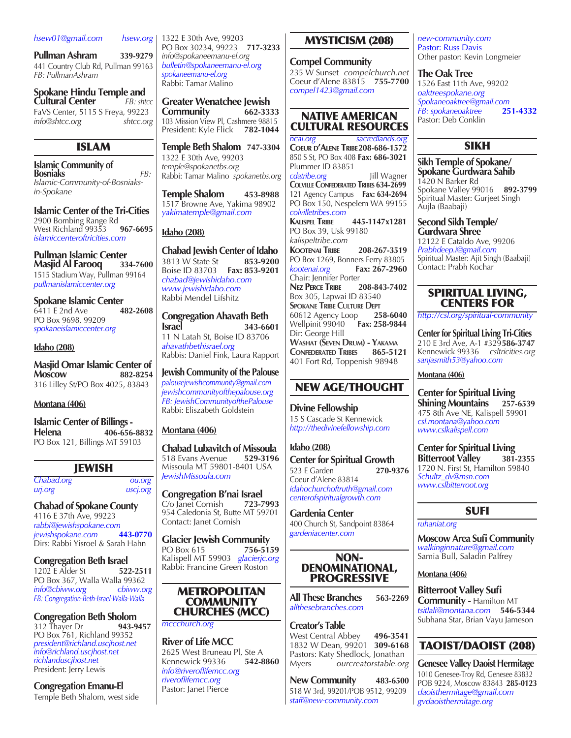#### *hsew01@gmail.com hsew.org*

**Pullman Ashram 339-9279** 441 Country Club Rd, Pullman 99163 *FB: PullmanAshram*

**Spokane Hindu Temple and Cultural Center** *FB: shtcc* FaVS Center, 5115 S Freya, 99223 *info@shtcc.org shtcc.org*

## ISLAM

**Islamic Community of Bosniaks** *FB: Islamic-Community-of-Bosniaksin-Spokane*

**Islamic Center of the Tri-Cities** 2900 Bombing Range Rd West Richland 99353 **967-6695** *islamiccenteroftricities.com*

**Pullman Islamic Center Masjid Al Farooq 334-7600** 1515 Stadium Way, Pullman 99164 *pullmanislamiccenter.org*

**Spokane Islamic Center**<br>6411 E 2nd Ave **482-2608** 6411 **E** 2nd Ave PO Box 9698, 99209 *spokaneislamiccenter.org* 

#### **Idaho (208)**

**Masjid Omar Islamic Center of Moscow 882-8254** 316 Lilley St/PO Box 4025, 83843

#### **Montana (406)**

**Islamic Center of Billings - Helena 406-656-8832** PO Box 121, Billings MT 59103

## JEWISH

*Chabad.org ou.org urj.org uscj.org*

**Chabad of Spokane County**  4116 E 37th Ave, 99223 *rabbi@jewishspokane.com jewishspokane.com* **443-0770** Dirs: Rabbi Yisroel & Sarah Hahn

**Congregation Beth Israel**<br>1202 E Alder St **1202-2511** 1202 **E** Alder St PO Box 367, Walla Walla 99362 *info@cbiww.org cbiww.org FB: Congregation-Beth-Israel-Walla-Walla*

**Congregation Beth Sholom**<br>312 Thayer Dr<br>943-9457 312 Thayer Dr PO Box 761, Richland 99352 *president@richland.uscjhost.net info@richland.uscjhost.net richlanduscjhost.net* President: Jerry Lewis

**Congregation Emanu-El** Temple Beth Shalom, west side 1322 E 30th Ave, 99203 PO Box 30234, 99223 **717-3233** *info@spokaneemanu-el.org bulletin@spokaneemanu-el.org spokaneemanu-el.org* Rabbi: Tamar Malino

**Greater Wenatchee Jewish Community 662-3333** 103 Mission View Pl, Cashmere 98815 President: Kyle Flick **782-1044**

**Temple Beth Shalom 747-3304** 1322 E 30th Ave, 99203 *temple@spokanetbs.org* Rabbi: Tamar Malino *spokanetbs.org*

**Temple Shalom 453-8988** 1517 Browne Ave, Yakima 98902 *yakimatemple@gmail.com*

#### **Idaho (208)**

**Chabad Jewish Center of Idaho** 3813 W State St **853-9200** Boise ID 83703 **Fax: 853-9201** *chabad@jewishidaho.com www.jewishidaho.com* Rabbi Mendel Lifshitz

**Congregation Ahavath Beth Israel 343-6601**

11 N Latah St, Boise ID 83706 *ahavathbethisrael.org* Rabbis: Daniel Fink, Laura Rapport

#### **Jewish Community of the Palouse**

*palousejewishcommunity@gmail.com jewishcommunityofthepalouse.org FB: JewishCommunityofthePalouse* Rabbi: Eliszabeth Goldstein

#### **Montana (406)**

**Chabad Lubavitch of Missoula** 518 Evans Avenue **529-3196** Missoula MT 59801-8401 USA *JewishMissoula.com*

**Congregation B'nai Israel**<br>C/o Janet Cornish 723-7993 C/o Janet Cornish **723-7993** 954 Caledonia St, Butte MT 59701 Contact: Janet Cornish

**Glacier Jewish Community**<br>PO Box 615 756-5159 PO Box 615 **756-5159**  Kalispell MT 59903 *glacierjc.org* Rabbi: Francine Green Roston

#### METROPOLITAN COMMUNITY CHURCHES (MCC)

*mccchurch.org*

**River of Life MCC** 2625 West Bruneau Pl, Ste A<br>Kennewick 99336 542-8860 **Kennewick 99336** *info@riveroflifemcc.org riveroflifemcc.org* Pastor: Janet Pierce

## MYSTICISM (208)

**Compel Community** 235 W Sunset *compelchurch.net* Coeur d'Alene 83815 **755-7700**  *compel1423@gmail.com*

## NATIVE AMERICAN CULTURAL RESOURCES

*ncai.org sacredlands.org* **Coeur d'Alene Tribe208-686-1572** 850 S St, PO Box 408 **Fax: 686-3021** Plummer ID 83851

*cdatribe.org* Jill Wagner **Colville Confederated Tribes 634-2699** 121 Agency Campus **Fax: 634-2694** PO Box 150, Nespelem WA 99155 *colvilletribes.com*

**Kalispel Tribe 445-1147x1281** PO Box 39, Usk 99180 *kalispeltribe.com*

**Kootenai Tribe 208-267-3519** PO Box 1269, Bonners Ferry 83805<br>
kootenai.org **Fax: 267-2960** *kootenai.org* **Fax: 267-2960** Chair: Jennifer Porter **Nez Perce Tribe 208-843-7402** Box 305, Lapwai ID 83540 **SPOKANE TRIBE CULTURE DEPT**<br>60612 Agency Loop 258-6040 60612 Agency Loop **258-6040** Wellpinit 99040 **Fax: 258-9844** Dir: George Hill **Washat (Seven Drum) - Yakama CONFEDERATED TRIBES** 

401 Fort Rd, Toppenish 98948

## NEW AGE/THOUGHT

**Divine Fellowship** 15 S Cascade St Kennewick *http://thedivinefellowship.com*

**Idaho (208) Center for Spiritual Growth**<br>523 E Garden 270-9376 523 E Garden **270-9376**  Coeur d'Alene 83814 *idahochurchoftruth@gmail.com centerofspiritualgrowth.com*

**Gardenia Center** 400 Church St, Sandpoint 83864 *gardeniacenter.com*

#### NON-DENOMINATIONAL, PROGRESSIVE

**All These Branches 563-2269** *allthesebranches.com*

**Creator's Table**

West Central Abbey **496-3541**  1832 W Dean, 99201 **309-6168** Pastors: Katy Shedlock, Jonathan<br>Myers ourcreatorstable.org Myers *ourcreatorstable.org*

**New Community 483-6500** 518 W 3rd, 99201/POB 9512, 99209 *staff@new-community.com*

*new-community.com* Pastor: Russ Davis Other pastor: Kevin Longmeier

**The Oak Tree** 1526 East 11th Ave, 99202 *oaktreespokane.org Spokaneoaktree@gmail.com FB: spokaneoaktree* **251-4332** Pastor: Deb Conklin

## SIKH

## **Sikh Temple of Spokane/ Spokane Gurdwara Sahib**

1420 N Barker Rd Spokane Valley 99016 **892-3799** Spiritual Master: Gurjeet Singh Aujla (Baabaji)

**Second Sikh Temple/ Gurdwara Shree**

12122 E Cataldo Ave, 99206 *Prabhdeep.i@gmail.com* Spiritual Master: Ajit Singh (Baabaji) Contact: Prabh Kochar

## SPIRITUAL LIVING, CENTERS FOR

*http://csl.org/spiritual-community*

**Center for Spiritual Living Tri-Cities** 210 E 3rd Ave, A-1 #329**586-3747** Kennewick 99336 *csltricities.org sanjasmith53@yahoo.com*

**Montana (406)**

**Center for Spiritual Living Shining Mountains 257-6539** 475 8th Ave NE, Kalispell 59901 *csl.montana@yahoo.com www.cslkalispell.com*

**Center for Spiritual Living Bitterroot Valley** 1720 N. First St, Hamilton 59840 *Schultz\_dv@msn.com www.cslbitterroot.org*

## SUFI

#### *ruhaniat.org*

**Moscow Area Sufi Community** *walkinginnature@gmail.com* Samia Bull, Saladin Palfrey

**Montana (406)**

**Bitterroot Valley Sufi Community -** Hamilton MT *tsitlali@montana.com* **546-5344** Subhana Star, Brian Vayu Jameson

## TAOIST/DAOIST (208)

**Genesee Valley Daoist Hermitage** 1010 Genesee-Troy Rd, Genesee 83832 POB 9224, Moscow 83843 **285-0123** *daoisthermitage@gmail.com gvdaoisthermitage.org*